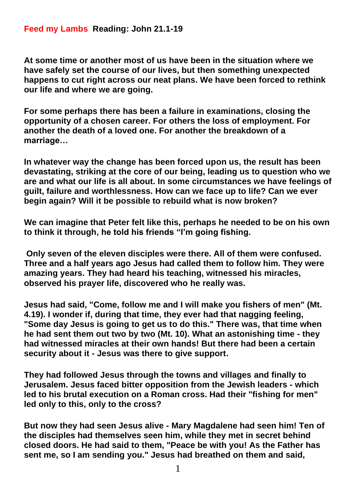## **Feed my Lambs Reading: John 21.1-19**

**At some time or another most of us have been in the situation where we have safely set the course of our lives, but then something unexpected happens to cut right across our neat plans. We have been forced to rethink our life and where we are going.**

**For some perhaps there has been a failure in examinations, closing the opportunity of a chosen career. For others the loss of employment. For another the death of a loved one. For another the breakdown of a marriage…**

**In whatever way the change has been forced upon us, the result has been devastating, striking at the core of our being, leading us to question who we are and what our life is all about. In some circumstances we have feelings of guilt, failure and worthlessness. How can we face up to life? Can we ever begin again? Will it be possible to rebuild what is now broken?**

**We can imagine that Peter felt like this, perhaps he needed to be on his own to think it through, he told his friends "I'm going fishing.**

**Only seven of the eleven disciples were there. All of them were confused. Three and a half years ago Jesus had called them to follow him. They were amazing years. They had heard his teaching, witnessed his miracles, observed his prayer life, discovered who he really was.**

**Jesus had said, "Come, follow me and I will make you fishers of men" (Mt. 4.19). I wonder if, during that time, they ever had that nagging feeling, "Some day Jesus is going to get us to do this." There was, that time when he had sent them out two by two (Mt. 10). What an astonishing time - they had witnessed miracles at their own hands! But there had been a certain security about it - Jesus was there to give support.** 

**They had followed Jesus through the towns and villages and finally to Jerusalem. Jesus faced bitter opposition from the Jewish leaders - which led to his brutal execution on a Roman cross. Had their "fishing for men" led only to this, only to the cross?**

**But now they had seen Jesus alive - Mary Magdalene had seen him! Ten of the disciples had themselves seen him, while they met in secret behind closed doors. He had said to them, "Peace be with you! As the Father has sent me, so I am sending you." Jesus had breathed on them and said,**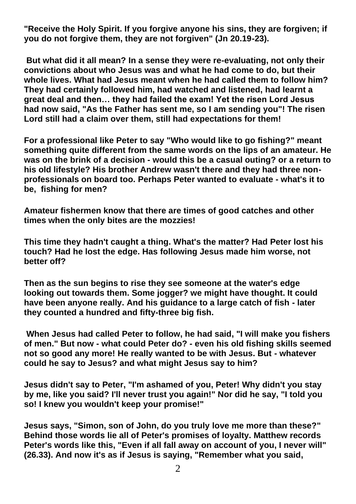**"Receive the Holy Spirit. If you forgive anyone his sins, they are forgiven; if you do not forgive them, they are not forgiven" (Jn 20.19-23).**

**But what did it all mean? In a sense they were re-evaluating, not only their convictions about who Jesus was and what he had come to do, but their whole lives. What had Jesus meant when he had called them to follow him? They had certainly followed him, had watched and listened, had learnt a great deal and then… they had failed the exam! Yet the risen Lord Jesus had now said, "As the Father has sent me, so I am sending you"! The risen Lord still had a claim over them, still had expectations for them!**

**For a professional like Peter to say "Who would like to go fishing?" meant something quite different from the same words on the lips of an amateur. He was on the brink of a decision - would this be a casual outing? or a return to his old lifestyle? His brother Andrew wasn't there and they had three nonprofessionals on board too. Perhaps Peter wanted to evaluate - what's it to be, fishing for men?**

**Amateur fishermen know that there are times of good catches and other times when the only bites are the mozzies!** 

**This time they hadn't caught a thing. What's the matter? Had Peter lost his touch? Had he lost the edge. Has following Jesus made him worse, not better off?** 

**Then as the sun begins to rise they see someone at the water's edge looking out towards them. Some jogger? we might have thought. It could have been anyone really. And his guidance to a large catch of fish - later they counted a hundred and fifty-three big fish.**

**When Jesus had called Peter to follow, he had said, "I will make you fishers of men." But now - what could Peter do? - even his old fishing skills seemed not so good any more! He really wanted to be with Jesus. But - whatever could he say to Jesus? and what might Jesus say to him?**

**Jesus didn't say to Peter, "I'm ashamed of you, Peter! Why didn't you stay by me, like you said? I'll never trust you again!" Nor did he say, "I told you so! I knew you wouldn't keep your promise!"** 

**Jesus says, "Simon, son of John, do you truly love me more than these?" Behind those words lie all of Peter's promises of loyalty. Matthew records Peter's words like this, "Even if all fall away on account of you, I never will" (26.33). And now it's as if Jesus is saying, "Remember what you said,**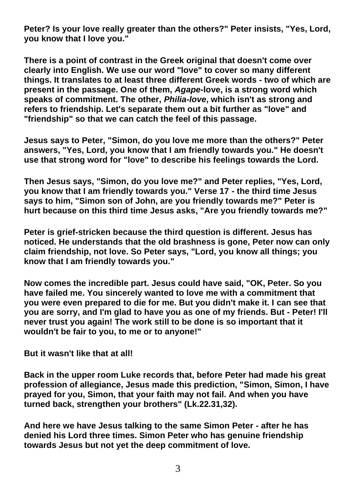**Peter? Is your love really greater than the others?" Peter insists, "Yes, Lord, you know that I love you."**

**There is a point of contrast in the Greek original that doesn't come over clearly into English. We use our word "love" to cover so many different things. It translates to at least three different Greek words - two of which are present in the passage. One of them,** *Agape***-love, is a strong word which speaks of commitment. The other,** *Philia-love***, which isn't as strong and refers to friendship. Let's separate them out a bit further as "love" and "friendship" so that we can catch the feel of this passage.**

**Jesus says to Peter, "Simon, do you love me more than the others?" Peter answers, "Yes, Lord, you know that I am friendly towards you." He doesn't use that strong word for "love" to describe his feelings towards the Lord.** 

**Then Jesus says, "Simon, do you love me?" and Peter replies, "Yes, Lord, you know that I am friendly towards you." Verse 17 - the third time Jesus says to him, "Simon son of John, are you friendly towards me?" Peter is hurt because on this third time Jesus asks, "Are you friendly towards me?"** 

**Peter is grief-stricken because the third question is different. Jesus has noticed. He understands that the old brashness is gone, Peter now can only claim friendship, not love. So Peter says, "Lord, you know all things; you know that I am friendly towards you."**

**Now comes the incredible part. Jesus could have said, "OK, Peter. So you have failed me. You sincerely wanted to love me with a commitment that you were even prepared to die for me. But you didn't make it. I can see that you are sorry, and I'm glad to have you as one of my friends. But - Peter! I'll never trust you again! The work still to be done is so important that it wouldn't be fair to you, to me or to anyone!"**

**But it wasn't like that at all!**

**Back in the upper room Luke records that, before Peter had made his great profession of allegiance, Jesus made this prediction, "Simon, Simon, I have prayed for you, Simon, that your faith may not fail. And when you have turned back, strengthen your brothers" (Lk.22.31,32).**

**And here we have Jesus talking to the same Simon Peter - after he has denied his Lord three times. Simon Peter who has genuine friendship towards Jesus but not yet the deep commitment of love.**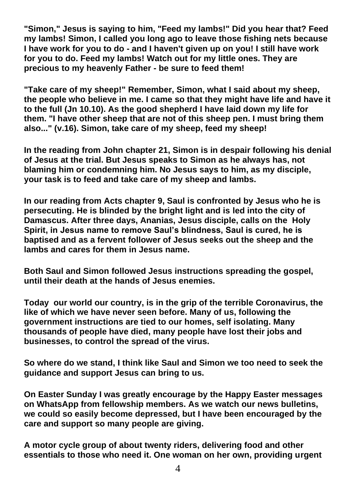**"Simon," Jesus is saying to him, "Feed my lambs!" Did you hear that? Feed my lambs! Simon, I called you long ago to leave those fishing nets because I have work for you to do - and I haven't given up on you! I still have work for you to do. Feed my lambs! Watch out for my little ones. They are precious to my heavenly Father - be sure to feed them!**

**"Take care of my sheep!" Remember, Simon, what I said about my sheep, the people who believe in me. I came so that they might have life and have it to the full (Jn 10.10). As the good shepherd I have laid down my life for them. "I have other sheep that are not of this sheep pen. I must bring them also..." (v.16). Simon, take care of my sheep, feed my sheep!**

**In the reading from John chapter 21, Simon is in despair following his denial of Jesus at the trial. But Jesus speaks to Simon as he always has, not blaming him or condemning him. No Jesus says to him, as my disciple, your task is to feed and take care of my sheep and lambs.** 

**In our reading from Acts chapter 9, Saul is confronted by Jesus who he is persecuting. He is blinded by the bright light and is led into the city of Damascus. After three days, Ananias, Jesus disciple, calls on the Holy Spirit, in Jesus name to remove Saul's blindness, Saul is cured, he is baptised and as a fervent follower of Jesus seeks out the sheep and the lambs and cares for them in Jesus name.**

**Both Saul and Simon followed Jesus instructions spreading the gospel, until their death at the hands of Jesus enemies.**

**Today our world our country, is in the grip of the terrible Coronavirus, the like of which we have never seen before. Many of us, following the government instructions are tied to our homes, self isolating. Many thousands of people have died, many people have lost their jobs and businesses, to control the spread of the virus.**

**So where do we stand, I think like Saul and Simon we too need to seek the guidance and support Jesus can bring to us.** 

**On Easter Sunday I was greatly encourage by the Happy Easter messages on WhatsApp from fellowship members. As we watch our news bulletins, we could so easily become depressed, but I have been encouraged by the care and support so many people are giving.**

**A motor cycle group of about twenty riders, delivering food and other essentials to those who need it. One woman on her own, providing urgent**